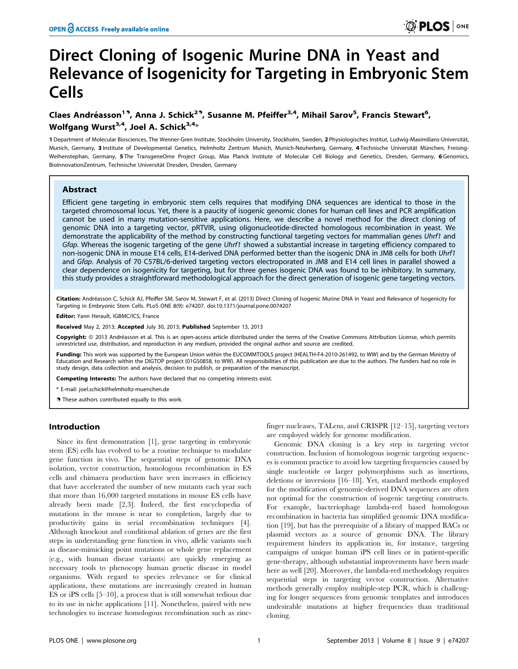# Direct Cloning of Isogenic Murine DNA in Yeast and Relevance of Isogenicity for Targeting in Embryonic Stem Cells

# Claes Andréasson<sup>19</sup>, Anna J. Schick<sup>29</sup>, Susanne M. Pfeiffer<sup>3,4</sup>, Mihail Sarov<sup>5</sup>, Francis Stewart<sup>6</sup>, Wolfgang Wurst<sup>3,4</sup>, Joel A. Schick<sup>3,4\*</sup>

1 Department of Molecular Biosciences, The Wenner-Gren Institute, Stockholm University, Stockholm, Sweden, 2 Physiologisches Institut, Ludwig-Maximilians-Universität, Munich, Germany, 3 Institute of Developmental Genetics, Helmholtz Zentrum Munich, Munich-Neuherberg, Germany, 4 Technische Universität München, Freising-Weihenstephan, Germany, 5 The TransgeneOme Project Group, Max Planck Institute of Molecular Cell Biology and Genetics, Dresden, Germany, 6 Genomics, BioInnovationZentrum, Technische Universität Dresden, Dresden, Germany

## Abstract

Efficient gene targeting in embryonic stem cells requires that modifying DNA sequences are identical to those in the targeted chromosomal locus. Yet, there is a paucity of isogenic genomic clones for human cell lines and PCR amplification cannot be used in many mutation-sensitive applications. Here, we describe a novel method for the direct cloning of genomic DNA into a targeting vector, pRTVIR, using oligonucleotide-directed homologous recombination in yeast. We demonstrate the applicability of the method by constructing functional targeting vectors for mammalian genes Uhrf1 and Gfap. Whereas the isogenic targeting of the gene Uhrf1 showed a substantial increase in targeting efficiency compared to non-isogenic DNA in mouse E14 cells, E14-derived DNA performed better than the isogenic DNA in JM8 cells for both Uhrf1 and Gfap. Analysis of 70 C57BL/6-derived targeting vectors electroporated in JM8 and E14 cell lines in parallel showed a clear dependence on isogenicity for targeting, but for three genes isogenic DNA was found to be inhibitory. In summary, this study provides a straightforward methodological approach for the direct generation of isogenic gene targeting vectors.

Citation: Andréasson C, Schick AJ, Pfeiffer SM, Sarov M, Stewart F, et al. (2013) Direct Cloning of Isogenic Murine DNA in Yeast and Relevance of Isogenicity for Targeting in Embryonic Stem Cells. PLoS ONE 8(9): e74207. doi:10.1371/journal.pone.0074207

ditor: Yann Herault, IGBMC/ICS, France

Received May 2, 2013; Accepted July 30, 2013; Published September 13, 2013

Copyright: © 2013 Andréasson et al. This is an open-access article distributed under the terms of the Creative Commons Attribution License, which permits unrestricted use, distribution, and reproduction in any medium, provided the original author and source are credited.

Funding: This work was supported by the European Union within the EUCOMMTOOLS project (HEALTH-F4-2010-261492, to WW) and by the German Ministry of Education and Research within the DIGTOP project (01GS0858, to WW). All responsibilities of this publication are due to the authors. The funders had no role in study design, data collection and analysis, decision to publish, or preparation of the manuscript.

Competing Interests: The authors have declared that no competing interests exist.

\* E-mail: joel.schick@helmholtz-muenchen.de

**.** These authors contributed equally to this work.

#### Introduction

Since its first demonstration [1], gene targeting in embryonic stem (ES) cells has evolved to be a routine technique to modulate gene function in vivo. The sequential steps of genomic DNA isolation, vector construction, homologous recombination in ES cells and chimaera production have seen increases in efficiency that have accelerated the number of new mutants each year such that more than 16,000 targeted mutations in mouse ES cells have already been made [2,3]. Indeed, the first encyclopedia of mutations in the mouse is near to completion, largely due to productivity gains in serial recombination techniques [4]. Although knockout and conditional ablation of genes are the first steps in understanding gene function in vivo, allelic variants such as disease-mimicking point mutations or whole gene replacement (e.g., with human disease variants) are quickly emerging as necessary tools to phenocopy human genetic disease in model organisms. With regard to species relevance or for clinical applications, these mutations are increasingly created in human ES or iPS cells [5–10], a process that is still somewhat tedious due to its use in niche applications [11]. Nonetheless, paired with new technologies to increase homologous recombination such as zincfinger nucleases, TALens, and CRISPR [12–15], targeting vectors are employed widely for genome modification.

Genomic DNA cloning is a key step in targeting vector construction. Inclusion of homologous isogenic targeting sequences is common practice to avoid low targeting frequencies caused by single nucleotide or larger polymorphisms such as insertions, deletions or inversions [16–18]. Yet, standard methods employed for the modification of genomic-derived DNA sequences are often not optimal for the construction of isogenic targeting constructs. For example, bacteriophage lambda-red based homologous recombination in bacteria has simplified genomic DNA modification [19], but has the prerequisite of a library of mapped BACs or plasmid vectors as a source of genomic DNA. The library requirement hinders its application in, for instance, targeting campaigns of unique human iPS cell lines or in patient-specific gene-therapy, although substantial improvements have been made here as well [20]. Moreover, the lambda-red methodology requires sequential steps in targeting vector construction. Alternative methods generally employ multiple-step PCR, which is challenging for longer sequences from genomic templates and introduces undesirable mutations at higher frequencies than traditional cloning.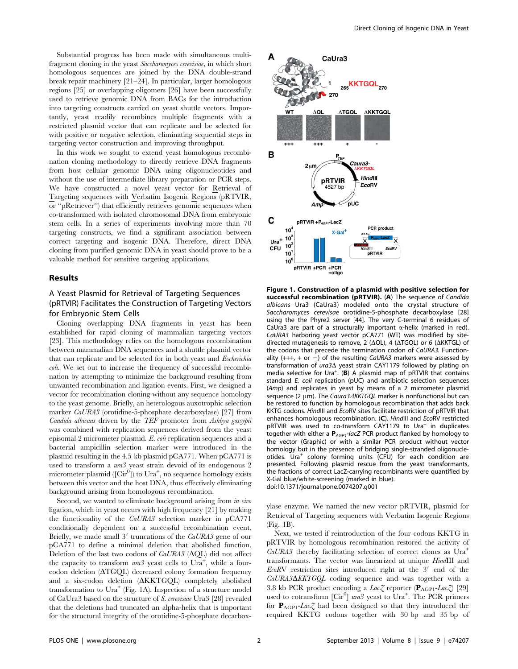Substantial progress has been made with simultaneous multifragment cloning in the yeast Saccharomyces cerevisiae, in which short homologous sequences are joined by the DNA double-strand break repair machinery [21–24]. In particular, larger homologous regions [25] or overlapping oligomers [26] have been successfully used to retrieve genomic DNA from BACs for the introduction into targeting constructs carried on yeast shuttle vectors. Importantly, yeast readily recombines multiple fragments with a restricted plasmid vector that can replicate and be selected for with positive or negative selection, eliminating sequential steps in targeting vector construction and improving throughput.

In this work we sought to extend yeast homologous recombination cloning methodology to directly retrieve DNA fragments from host cellular genomic DNA using oligonucleotides and without the use of intermediate library preparation or PCR steps. We have constructed a novel yeast vector for Retrieval of Targeting sequences with Verbatim Isogenic Regions (pRTVIR, or ''pRetriever'') that efficiently retrieves genomic sequences when co-transformed with isolated chromosomal DNA from embryonic stem cells. In a series of experiments involving more than 70 targeting constructs, we find a significant association between correct targeting and isogenic DNA. Therefore, direct DNA cloning from purified genomic DNA in yeast should prove to be a valuable method for sensitive targeting applications.

#### Results

# A Yeast Plasmid for Retrieval of Targeting Sequences (pRTVIR) Facilitates the Construction of Targeting Vectors for Embryonic Stem Cells

Cloning overlapping DNA fragments in yeast has been established for rapid cloning of mammalian targeting vectors [23]. This methodology relies on the homologous recombination between mammalian DNA sequences and a shuttle plasmid vector that can replicate and be selected for in both yeast and Escherichia coli. We set out to increase the frequency of successful recombination by attempting to minimize the background resulting from unwanted recombination and ligation events. First, we designed a vector for recombination cloning without any sequence homology to the yeast genome. Briefly, an heterologous auxotrophic selection marker CaURA3 (orotidine-5-phosphate decarboxylase) [27] from Candida albicans driven by the TEF promoter from Ashbya gossypii was combined with replication sequences derived from the yeast episomal 2 micrometer plasmid. E. coli replication sequences and a bacterial ampicillin selection marker were introduced in the plasmid resulting in the 4.5 kb plasmid pCA771. When pCA771 is used to transform a ura3 yeast strain devoid of its endogenous 2 micrometer plasmid ( $[\mathrm{Cir}^0]$ ) to  $\mathrm{Ura}^+$ , no sequence homology exists between this vector and the host DNA, thus effectively eliminating background arising from homologous recombination.

Second, we wanted to eliminate background arising from in vivo ligation, which in yeast occurs with high frequency [21] by making the functionality of the CaURA3 selection marker in pCA771 conditionally dependent on a successful recombination event. Briefly, we made small 3' truncations of the CaURA3 gene of our pCA771 to define a minimal deletion that abolished function. Deletion of the last two codons of  $CaURA3$  ( $\Delta QL$ ) did not affect the capacity to transform  $ura3$  yeast cells to  $\overline{Ura}^+$ , while a four- $\alpha$  codon deletion  $(\Delta \text{TGQL})$  decreased colony formation frequency and a six-codon deletion  $(\Delta KKTGQL)$  completely abolished transformation to  $Ura^+$  (Fig. 1A). Inspection of a structure model of CaUra3 based on the structure of S. cerevisiae Ura3 [28] revealed that the deletions had truncated an alpha-helix that is important for the structural integrity of the orotidine-5-phosphate decarbox-



Figure 1. Construction of a plasmid with positive selection for successful recombination (pRTVIR). (A) The sequence of Candida albicans Ura3 (CaUra3) modeled onto the crystal structure of Saccharomyces cerevisae orotidine-5-phosphate decarboxylase [28] using the the Phyre2 server [44]. The very C-terminal 6 residues of CaUra3 are part of a structurally important  $\alpha$ -helix (marked in red). CaURA3 harboring yeast vector pCA771 (WT) was modified by sitedirected mutagenesis to remove, 2 ( $\Delta$ QL), 4 ( $\Delta$ TGQL) or 6 ( $\Delta$ KKTGL) of the codons that precede the termination codon of CaURA3. Functionality  $(+++, + or -)$  of the resulting CaURA3 markers were assessed by transformation of ura3 $\Delta$  yeast strain CAY1179 followed by plating on media selective for Ura<sup>+</sup>. (B) A plasmid map of pRTVIR that contains standard E. coli replication (pUC) and antibiotic selection sequences (Amp) and replicates in yeast by means of a 2 micrometer plasmid sequence (2 μm). The Caura3ΔKKTGQL marker is nonfunctional but can be restored to function by homologous recombination that adds back KKTG codons. HindIII and EcoRV sites facilitate restriction of pRTVIR that enhances homologous recombination. (C). HindIII and EcoRV restricted  $pRTVIR$  was used to co-transform CAY1179 to Ura<sup>+</sup> in duplicates together with either a  $P_{AGPI}$ -lacZ PCR product flanked by homology to the vector (Graphic) or with a similar PCR product without vector homology but in the presence of bridging single-stranded oligonucleotides. Ura<sup>+</sup> colony forming units (CFU) for each condition are presented. Following plasmid rescue from the yeast transformants, the fractions of correct LacZ-carrying recombinants were quantified by X-Gal blue/white-screening (marked in blue). doi:10.1371/journal.pone.0074207.g001

ylase enzyme. We named the new vector pRTVIR, plasmid for Retrieval of Targeting sequences with Verbatim Isogenic Regions (Fig. 1B).

Next, we tested if reintroduction of the four codons KKTG in pRTVIR by homologous recombination restored the activity of CaURA3 thereby facilitating selection of correct clones as Ura<sup>+</sup> transformants. The vector was linearized at unique HindIII and  $EcoRV$  restriction sites introduced right at the  $3'$  end of the CaURA3 $\Delta$ KKTGQL coding sequence and was together with a 3.8 kb PCR product encoding a  $Lac\zeta$  reporter ( $\mathbf{P}_{AGP1}$ - $Lac\zeta$ ) [29] used to cotransform [Cir<sup>0</sup>] ura3 yeast to Ura<sup>+</sup>. The PCR primers for  $P_{AGP1}$ -Lac<sub> $\zeta$ </sub> had been designed so that they introduced the required KKTG codons together with 30 bp and 35 bp of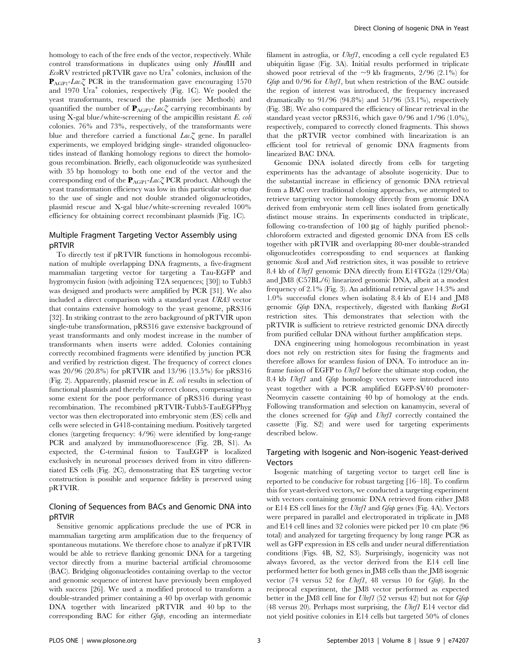homology to each of the free ends of the vector, respectively. While control transformations in duplicates using only HindIII and  $E \circ \mathsf{RV}$  restricted pRTVIR gave no Ura<sup>+</sup> colonies, inclusion of the  $\mathbf{P}_{AGP1}$ -Lac $\zeta$  PCR in the transformation gave encouraging 1570 and 1970 Ura<sup>+</sup> colonies, respectively (Fig. 1C). We pooled the yeast transformants, rescued the plasmids (see Methods) and quantified the number of  $P_{AGP1}$ -Lac<sub>c</sub> carrying recombinants by using  $X$ -gal blue/white-screening of the ampicillin resistant  $E$ . coli colonies. 76% and 73%, respectively, of the transformants were blue and therefore carried a functional  $Lac\zeta$  gene. In parallel experiments, we employed bridging single- stranded oligonucleotides instead of flanking homology regions to direct the homologous recombination. Briefly, each oligonucleotide was synthesized with 35 bp homology to both one end of the vector and the corresponding end of the  $P_{AGP1}$ -Lac<sub>Z</sub> PCR product. Although the yeast transformation efficiency was low in this particular setup due to the use of single and not double stranded oligonucleotides, plasmid rescue and X-gal blue/white-screening revealed 100% efficiency for obtaining correct recombinant plasmids (Fig. 1C).

# Multiple Fragment Targeting Vector Assembly using pRTVIR

To directly test if pRTVIR functions in homologous recombination of multiple overlapping DNA fragments, a five-fragment mammalian targeting vector for targeting a Tau-EGFP and hygromycin fusion (with adjoining T2A sequences; [30]) to Tubb3 was designed and products were amplified by PCR [31]. We also included a direct comparison with a standard yeast URA3 vector that contains extensive homology to the yeast genome, pRS316 [32]. In striking contrast to the zero background of pRTVIR upon single-tube transformation, pRS316 gave extensive background of yeast transformants and only modest increase in the number of transformants when inserts were added. Colonies containing correctly recombined fragments were identified by junction PCR and verified by restriction digest. The frequency of correct clones was 20/96 (20.8%) for pRTVIR and 13/96 (13.5%) for pRS316 (Fig. 2). Apparently, plasmid rescue in E. coli results in selection of functional plasmids and thereby of correct clones, compensating to some extent for the poor performance of pRS316 during yeast recombination. The recombined pRTVIR-Tubb3-TauEGFPhyg vector was then electroporated into embryonic stem (ES) cells and cells were selected in G418-containing medium. Positively targeted clones (targeting frequency: 4/96) were identified by long-range PCR and analyzed by immunofluorescence (Fig. 2B, S1). As expected, the C-terminal fusion to TauEGFP is localized exclusively in neuronal processes derived from in vitro differentiated ES cells (Fig. 2C), demonstrating that ES targeting vector construction is possible and sequence fidelity is preserved using pRTVIR.

# Cloning of Sequences from BACs and Genomic DNA into pRTVIR

Sensitive genomic applications preclude the use of PCR in mammalian targeting arm amplification due to the frequency of spontaneous mutations. We therefore chose to analyze if pRTVIR would be able to retrieve flanking genomic DNA for a targeting vector directly from a murine bacterial artificial chromosome (BAC). Bridging oligonucleotides containing overlap to the vector and genomic sequence of interest have previously been employed with success [26]. We used a modified protocol to transform a double-stranded primer containing a 40 bp overlap with genomic DNA together with linearized pRTVIR and 40 bp to the corresponding BAC for either Gfap, encoding an intermediate filament in astroglia, or Uhrf1, encoding a cell cycle regulated E3 ubiquitin ligase (Fig. 3A). Initial results performed in triplicate showed poor retrieval of the  $\sim$ 9 kb fragments, 2/96 (2.1%) for Gfap and 0/96 for Uhrf1, but when restriction of the BAC outside the region of interest was introduced, the frequency increased dramatically to 91/96 (94.8%) and 51/96 (53.1%), respectively (Fig. 3B). We also compared the efficiency of linear retrieval in the standard yeast vector pRS316, which gave 0/96 and 1/96 (1.0%), respectively, compared to correctly cloned fragments. This shows that the pRTVIR vector combined with linearization is an efficient tool for retrieval of genomic DNA fragments from linearized BAC DNA.

Genomic DNA isolated directly from cells for targeting experiments has the advantage of absolute isogenicity. Due to the substantial increase in efficiency of genomic DNA retrieval from a BAC over traditional cloning approaches, we attempted to retrieve targeting vector homology directly from genomic DNA derived from embryonic stem cell lines isolated from genetically distinct mouse strains. In experiments conducted in triplicate, following co-transfection of  $100 \mu$ g of highly purified phenol:chloroform extracted and digested genomic DNA from ES cells together with pRTVIR and overlapping 80-mer double-stranded oligonucleotides corresponding to end sequences at flanking genomic SwaI and NotI restriction sites, it was possible to retrieve 8.4 kb of Uhrf1 genomic DNA directly from E14TG2a (129/Ola) and JM8 (C57BL/6) linearized genomic DNA, albeit at a modest frequency of 2.1% (Fig. 3). An additional retrieval gave 14.3% and 1.0% successful clones when isolating 8.4 kb of E14 and JM8 genomic Gfap DNA, respectively, digested with flanking BsrGI restriction sites. This demonstrates that selection with the pRTVIR is sufficient to retrieve restricted genomic DNA directly from purified cellular DNA without further amplification steps.

DNA engineering using homologous recombination in yeast does not rely on restriction sites for fusing the fragments and therefore allows for seamless fusion of DNA. To introduce an inframe fusion of EGFP to Uhrf1 before the ultimate stop codon, the 8.4 kb Uhrf1 and Gfap homology vectors were introduced into yeast together with a PCR amplified EGFP-SV40 promoter-Neomycin cassette containing 40 bp of homology at the ends. Following transformation and selection on kanamycin, several of the clones screened for Gfap and Uhrf1 correctly contained the cassette (Fig. S2) and were used for targeting experiments described below.

# Targeting with Isogenic and Non-isogenic Yeast-derived Vectors

Isogenic matching of targeting vector to target cell line is reported to be conducive for robust targeting [16–18]. To confirm this for yeast-derived vectors, we conducted a targeting experiment with vectors containing genomic DNA retrieved from either JM8 or E14 ES cell lines for the Uhrf1 and Gfap genes (Fig. 4A). Vectors were prepared in parallel and electroporated in triplicate in JM8 and E14 cell lines and 32 colonies were picked per 10 cm plate (96 total) and analyzed for targeting frequency by long range PCR as well as GFP expression in ES cells and under neural differentiation conditions (Figs. 4B, S2, S3). Surprisingly, isogenicity was not always favored, as the vector derived from the E14 cell line performed better for both genes in JM8 cells than the JM8 isogenic vector (74 versus 52 for Uhrf1, 48 versus 10 for Gfap). In the reciprocal experiment, the JM8 vector performed as expected better in the JM8 cell line for Uhrf1 (52 versus 42) but not for Gfap (48 versus 20). Perhaps most surprising, the Uhrf1 E14 vector did not yield positive colonies in E14 cells but targeted 50% of clones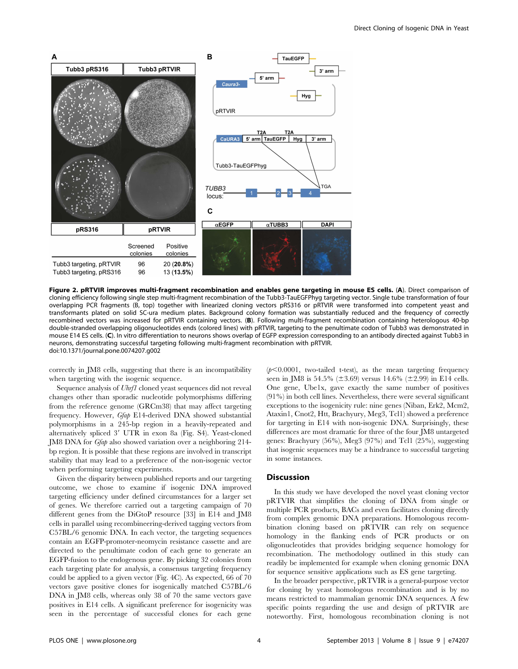

Figure 2. pRTVIR improves multi-fragment recombination and enables gene targeting in mouse ES cells. (A). Direct comparison of cloning efficiency following single step multi-fragment recombination of the Tubb3-TauEGFPhyg targeting vector. Single tube transformation of four overlapping PCR fragments (B, top) together with linearized cloning vectors pRS316 or pRTVIR were transformed into competent yeast and transformants plated on solid SC-ura medium plates. Background colony formation was substantially reduced and the frequency of correctly recombined vectors was increased for pRTVIR containing vectors. (B). Following multi-fragment recombination containing heterologous 40-bp double-stranded overlapping oligonucleotides ends (colored lines) with pRTVIR, targeting to the penultimate codon of Tubb3 was demonstrated in mouse E14 ES cells. (C). In vitro differentiation to neurons shows overlap of EGFP expression corresponding to an antibody directed against Tubb3 in neurons, demonstrating successful targeting following multi-fragment recombination with pRTVIR. doi:10.1371/journal.pone.0074207.g002

correctly in JM8 cells, suggesting that there is an incompatibility when targeting with the isogenic sequence.

Sequence analysis of Uhrf1 cloned yeast sequences did not reveal changes other than sporadic nucleotide polymorphisms differing from the reference genome (GRCm38) that may affect targeting frequency. However, Gfap E14-derived DNA showed substantial polymorphisms in a 245-bp region in a heavily-repeated and alternatively spliced 3' UTR in exon 8a (Fig. S4). Yeast-cloned JM8 DNA for Gfap also showed variation over a neighboring 214 bp region. It is possible that these regions are involved in transcript stability that may lead to a preference of the non-isogenic vector when performing targeting experiments.

Given the disparity between published reports and our targeting outcome, we chose to examine if isogenic DNA improved targeting efficiency under defined circumstances for a larger set of genes. We therefore carried out a targeting campaign of 70 different genes from the DiGtoP resource [33] in E14 and JM8 cells in parallel using recombineering-derived tagging vectors from C57BL/6 genomic DNA. In each vector, the targeting sequences contain an EGFP-promoter-neomycin resistance cassette and are directed to the penultimate codon of each gene to generate an EGFP-fusion to the endogenous gene. By picking 32 colonies from each targeting plate for analysis, a consensus targeting frequency could be applied to a given vector (Fig. 4C). As expected, 66 of 70 vectors gave positive clones for isogenically matched C57BL/6 DNA in JM8 cells, whereas only 38 of 70 the same vectors gave positives in E14 cells. A significant preference for isogenicity was seen in the percentage of successful clones for each gene

 $(p<0.0001$ , two-tailed t-test), as the mean targeting frequency seen in JM8 is 54.5% ( $\pm 3.69$ ) versus 14.6% ( $\pm 2.99$ ) in E14 cells. One gene, Ube1x, gave exactly the same number of positives (91%) in both cell lines. Nevertheless, there were several significant exceptions to the isogenicity rule: nine genes (Niban, Erk2, Mcm2, Ataxin1, Cnot2, Htt, Brachyury, Meg3, Tcl1) showed a preference for targeting in E14 with non-isogenic DNA. Surprisingly, these differences are most dramatic for three of the four JM8 untargeted genes: Brachyury (56%), Meg3 (97%) and Tcl1 (25%), suggesting that isogenic sequences may be a hindrance to successful targeting in some instances.

#### **Discussion**

In this study we have developed the novel yeast cloning vector pRTVIR that simplifies the cloning of DNA from single or multiple PCR products, BACs and even facilitates cloning directly from complex genomic DNA preparations. Homologous recombination cloning based on pRTVIR can rely on sequence homology in the flanking ends of PCR products or on oligonucleotides that provides bridging sequence homology for recombination. The methodology outlined in this study can readily be implemented for example when cloning genomic DNA for sequence sensitive applications such as ES gene targeting.

In the broader perspective, pRTVIR is a general-purpose vector for cloning by yeast homologous recombination and is by no means restricted to mammalian genomic DNA sequences. A few specific points regarding the use and design of pRTVIR are noteworthy. First, homologous recombination cloning is not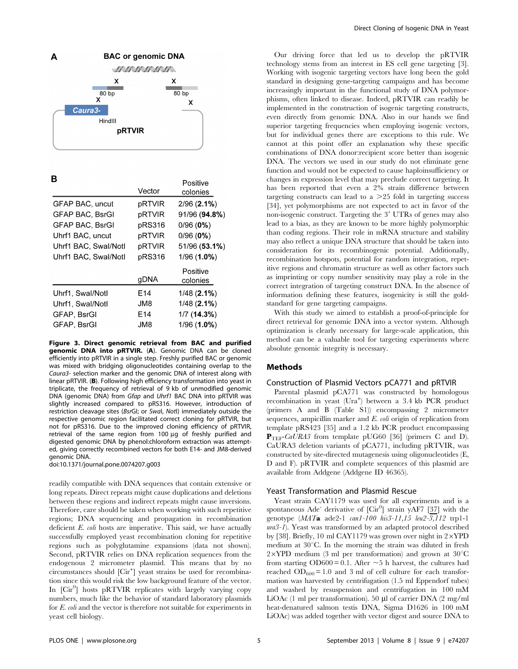

R

| Vector          | Positive<br>colonies |
|-----------------|----------------------|
| pRTVIR          | $2/96(2.1\%)$        |
| pRTVIR          | 91/96 (94.8%)        |
| pRS316          | 0/96(0%)             |
| pRTVIR          | 0/96(0%)             |
| pRTVIR          | 51/96 (53.1%)        |
| pRS316          | $1/96(1.0\%)$        |
| gDNA            | Positive<br>colonies |
| E14             | $1/48$ (2.1%)        |
| JM8             | 1/48(2.1%)           |
| E <sub>14</sub> | 1/7(14.3%)           |
| JM8             | 1/96 (1.0%)          |
|                 |                      |

Figure 3. Direct genomic retrieval from BAC and purified genomic DNA into pRTVIR. (A). Genomic DNA can be cloned efficiently into pRTVIR in a single step. Freshly purified BAC or genomic was mixed with bridging oligonucleotides containing overlap to the Caura3- selection marker and the genomic DNA of interest along with linear pRTVIR. (B). Following high efficiency transformation into yeast in triplicate, the frequency of retrieval of 9 kb of unmodified genomic DNA (genomic DNA) from Gfap and Uhrf1 BAC DNA into pRTVIR was slightly increased compared to pRS316. However, introduction of restriction cleavage sites (BsrGI; or SwaI, NotI) immediately outside the respective genomic region facilitated correct cloning for pRTVIR, but not for pRS316. Due to the improved cloning efficiency of pRTVIR, retrieval of the same region from 100 µg of freshly purified and digested genomic DNA by phenol:chloroform extraction was attempted, giving correctly recombined vectors for both E14- and JM8-derived genomic DNA.

doi:10.1371/journal.pone.0074207.g003

readily compatible with DNA sequences that contain extensive or long repeats. Direct repeats might cause duplications and deletions between these regions and indirect repeats might cause inversions. Therefore, care should be taken when working with such repetitive regions; DNA sequencing and propagation in recombination deficient *E. coli* hosts are imperative. This said, we have actually successfully employed yeast recombination cloning for repetitive regions such as polyglutamine expansions (data not shown). Second, pRTVIR relies on DNA replication sequences from the endogenous 2 micrometer plasmid. This means that by no circumstances should [Cir<sup>+</sup>] yeast strains be used for recombination since this would risk the low background feature of the vector. In [Cir<sup>0</sup>] hosts pRTVIR replicates with largely varying copy numbers, much like the behavior of standard laboratory plasmids for E. coli and the vector is therefore not suitable for experiments in yeast cell biology.

Our driving force that led us to develop the pRTVIR technology stems from an interest in ES cell gene targeting [3]. Working with isogenic targeting vectors have long been the gold standard in designing gene-targeting campaigns and has become increasingly important in the functional study of DNA polymorphisms, often linked to disease. Indeed, pRTVIR can readily be implemented in the construction of isogenic targeting constructs, even directly from genomic DNA. Also in our hands we find superior targeting frequencies when employing isogenic vectors, but for individual genes there are exceptions to this rule. We cannot at this point offer an explanation why these specific combinations of DNA donor:recipient score better than isogenic DNA. The vectors we used in our study do not eliminate gene function and would not be expected to cause haploinsufficiency or changes in expression level that may preclude correct targeting. It has been reported that even a 2% strain difference between targeting constructs can lead to a  $>25$  fold in targeting success [34], yet polymorphisms are not expected to act in favor of the non-isogenic construct. Targeting the 3' UTRs of genes may also lead to a bias, as they are known to be more highly polymorphic than coding regions. Their role in mRNA structure and stability may also reflect a unique DNA structure that should be taken into consideration for its recombinogenic potential. Additionally, recombination hotspots, potential for random integration, repetitive regions and chromatin structure as well as other factors such as imprinting or copy number sensitivity may play a role in the correct integration of targeting construct DNA. In the absence of information defining these features, isogenicity is still the goldstandard for gene targeting campaigns.

With this study we aimed to establish a proof-of-principle for direct retrieval for genomic DNA into a vector system. Although optimization is clearly necessary for large-scale application, this method can be a valuable tool for targeting experiments where absolute genomic integrity is necessary.

#### Methods

## Construction of Plasmid Vectors pCA771 and pRTVIR

Parental plasmid pCA771 was constructed by homologous recombination in yeast (Ura<sup>+</sup>) between a 3.4 kb PCR product (primers A and B (Table S1)) encompassing 2 micrometer sequences, ampicillin marker and E. coli origin of replication from template pRS423 [35] and a 1.2 kb PCR product encompassing  $\mathbf{P}_{\text{TEF}}$ -*CaURA3* from template pUG60 [36] (primers C and D). CaURA3 deletion variants of pCA771, including pRTVIR, was constructed by site-directed mutagenesis using oligonucleotides (E, D and F). pRTVIR and complete sequences of this plasmid are available from Addgene (Addgene ID 46365).

#### Yeast Transformation and Plasmid Rescue

Yeast strain CAY1179 was used for all experiments and is a spontaneous Ade<sup>-</sup> derivative of  $\left[\mathrm{Cir}^0\right]$  strain yAF7  $\left[\frac{37}{32}\right]$  with the genotype (MATa ade2-1 can1-100 his3-11,15 leu2-3,112 trp1-1 ura3-1). Yeast was transformed by an adapted protocol described by [38]. Briefly, 10 ml CAY1179 was grown over night in  $2\times$ YPD medium at 30°C. In the morning the strain was diluted in fresh  $2\times$ YPD medium (3 ml per transformation) and grown at 30 $^{\circ}$ C from starting  $OD600 = 0.1$ . After  $\sim 5$  h harvest, the cultures had reached  $OD_{600} = 1.0$  and 3 ml of cell culture for each transformation was harvested by centrifugation (1.5 ml Eppendorf tubes) and washed by resuspension and centrifugation in 100 mM LiOAc (1 ml per transformation). 50  $\mu$ l of carrier DNA (2 mg/ml heat-denatured salmon testis DNA, Sigma D1626 in 100 mM LiOAc) was added together with vector digest and source DNA to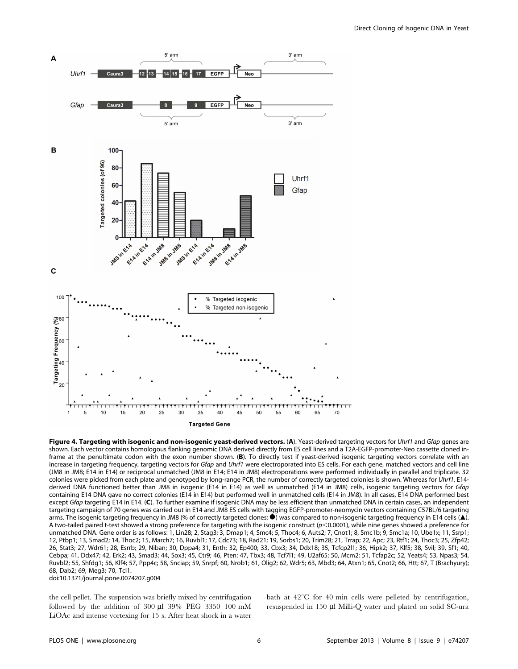

Figure 4. Targeting with isogenic and non-isogenic yeast-derived vectors. (A). Yeast-derived targeting vectors for Uhrf1 and Gfap genes are shown. Each vector contains homologous flanking genomic DNA derived directly from ES cell lines and a T2A-EGFP-promoter-Neo cassette cloned inframe at the penultimate codon with the exon number shown. (B). To directly test if yeast-derived isogenic targeting vectors correlate with an increase in targeting frequency, targeting vectors for Gfap and Uhrf1 were electroporated into ES cells. For each gene, matched vectors and cell line (JM8 in JM8; E14 in E14) or reciprocal unmatched (JM8 in E14; E14 in JM8) electroporations were performed individually in parallel and triplicate. 32 colonies were picked from each plate and genotyped by long-range PCR, the number of correctly targeted colonies is shown. Whereas for Uhrf1, E14derived DNA functioned better than JM8 in isogenic (E14 in E14) as well as unmatched (E14 in JM8) cells, isogenic targeting vectors for Gfap containing E14 DNA gave no correct colonies (E14 in E14) but performed well in unmatched cells (E14 in JM8). In all cases, E14 DNA performed best except Gfap targeting E14 in E14. (C). To further examine if isogenic DNA may be less efficient than unmatched DNA in certain cases, an independent targeting campaign of 70 genes was carried out in E14 and JM8 ES cells with tagging EGFP-promoter-neomycin vectors containing C57BL/6 targeting arms. The isogenic targeting frequency in JM8 (% of correctly targeted clones;  $\bullet$ ) was compared to non-isogenic targeting frequency in E14 cells ( $\blacktriangle$ ). A two-tailed paired t-test showed a strong preference for targeting with the isogenic construct (p<0.0001), while nine genes showed a preference for unmatched DNA. Gene order is as follows: 1, Lin28; 2, Stag3; 3, Dmap1; 4, Smc4; 5, Thoc4; 6, Auts2; 7, Cnot1; 8, Smc1b; 9, Smc1a; 10, Ube1x; 11, Ssrp1; 12, Ptbp1; 13, Smad2; 14, Thoc2; 15, March7; 16, Ruvbl1; 17, Cdc73; 18, Rad21; 19, Sorbs1; 20, Trim28; 21, Trrap; 22, Apc; 23, Rtf1; 24, Thoc3; 25, Zfp42; 26, Stat3; 27, Wdr61; 28, Esrrb; 29, Niban; 30, Dppa4; 31, Enth; 32, Ep400; 33, Cbx3; 34, Ddx18; 35, Tcfcp2l1; 36, Hipk2; 37, Klf5; 38, Svil; 39, Sf1; 40, Cebpa; 41, Ddx47; 42, Erk2; 43, Smad3; 44, Sox3; 45, Ctr9; 46, Pten; 47, Tbx3; 48, Tcf7l1; 49, U2af65; 50, Mcm2; 51, Tcfap2c; 52, Yeats4; 53, Npas3; 54, Ruvbl2; 55, Shfdg1; 56, Klf4; 57, Ppp4c; 58, Snciap; 59, Snrpf; 60, Nrob1; 61, Olig2; 62, Wdr5; 63, Mbd3; 64, Atxn1; 65, Cnot2; 66, Htt; 67, T (Brachyury); 68, Dab2; 69, Meg3; 70, Tcl1. doi:10.1371/journal.pone.0074207.g004

the cell pellet. The suspension was briefly mixed by centrifugation followed by the addition of  $300 \text{ µl}$   $39\%$  PEG  $3350 \text{ 100 mM}$ LiOAc and intense vortexing for 15 s. After heat shock in a water bath at  $42^{\circ}$ C for 40 min cells were pelleted by centrifugation, resuspended in 150 µl Milli-O water and plated on solid SC-ura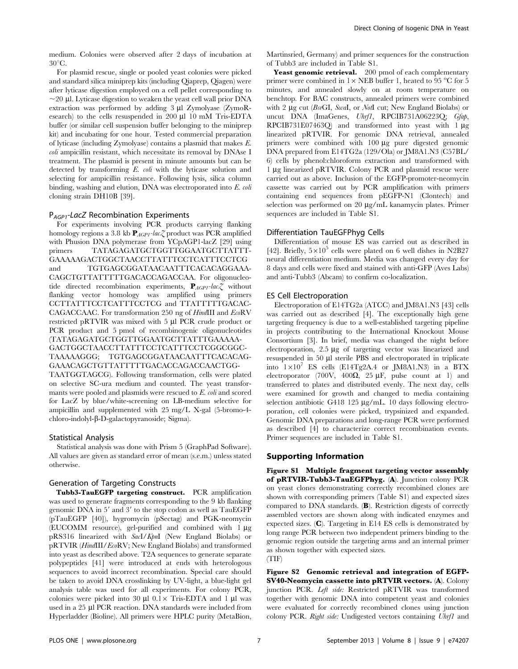medium. Colonies were observed after 2 days of incubation at  $30^{\circ}$ C.

For plasmid rescue, single or pooled yeast colonies were picked and standard silica miniprep kits (including Qiaprep, Qiagen) were after lyticase digestion employed on a cell pellet corresponding to  $\sim$ 20 µl. Lyticase digestion to weaken the yeast cell wall prior DNA extraction was performed by adding  $3 \mu$ l Zymolyase (ZymoResearch) to the cells resuspended in 200 µl 10 mM Tris-EDTA buffer (or similar cell suspension buffer belonging to the miniprep kit) and incubating for one hour. Tested commercial preparation of lyticase (including Zymolyase) contains a plasmid that makes E. coli ampicillin resistant, which necessitate its removal by DNAse I treatment. The plasmid is present in minute amounts but can be detected by transforming E. coli with the lyticase solution and selecting for ampicillin resistance. Following lysis, silica column binding, washing and elution, DNA was electroporated into E. coli cloning strain DH10B [39].

#### P<sub>AGP1</sub>-LacZ Recombination Experiments

For experiments involving PCR products carrying flanking homology regions a 3.8 kb  $\mathbf{P}_{AGPI}$ -lac $Z$  product was PCR amplified with Phusion DNA polymerase from YCpAGP1-lacZ [29] using<br>primers TATAGAGATGCTGGTTGGAATGCTTATTTprimers TATAGAGATGCTGGTTGGAATGCTTATTT-GAAAAAGACTGGCTAACCTTATTTCCTCATTTCCTCG and TGTGAGCGGATAACAATTTCACACAGGAAA-CAGCTGTTATTTTTGACACCAGACCAA. For oligonucleotide directed recombination experiments,  $\mathbf{P}_{AGPI}$ -lac $\chi$  without flanking vector homology was amplified using primers CCTTATTTCCTCATTTCCTCG and TTATTTTTGACAC-CAGACCAAC. For transformation 250 ng of HindIII and EcoRV restricted pRTVIR was mixed with 5 µl PCR crude product or PCR product and 5 pmol of recombinogenic oligonucleotides (TATAGAGATGCTGGTTGGAATGCTTATTTGAAAAA-GACTGGCTAACCTTATTTCCTCATTTCCTCGGCGGC-TAAAAAGGG; TGTGAGCGGATAACAATTTCACACAG-GAAACAGCTGTTATTTTTGACACCAGACCAACTGG-TAATGGTAGCG). Following transformation, cells were plated on selective SC-ura medium and counted. The yeast transfor-

mants were pooled and plasmids were rescued to E. coli and scored for LacZ by blue/white-screening on LB-medium selective for ampicillin and supplemented with 25 mg/L X-gal (5-bromo-4 chloro-indolyl-b-D-galactopyranoside; Sigma).

#### Statistical Analysis

Statistical analysis was done with Prism 5 (GraphPad Software). All values are given as standard error of mean (s.e.m.) unless stated otherwise.

#### Generation of Targeting Constructs

Tubb3-TauEGFP targeting construct. PCR amplification was used to generate fragments corresponding to the 9 kb flanking genomic DNA in  $5'$  and  $3'$  to the stop codon as well as  $TauEGFP$ (pTauEGFP [40]), hygromycin (pSectag) and PGK-neomycin (EUCOMM resource), gel-purified and combined with  $1 \mu$ g pRS316 linearized with SacI/KpnI (New England Biolabs) or pRTVIR (HindIII/EcoRV; New England Biolabs) and transformed into yeast as described above. T2A sequences to generate separate polypeptides [41] were introduced at ends with heterologous sequences to avoid incorrect recombination. Special care should be taken to avoid DNA crosslinking by UV-light, a blue-light gel analysis table was used for all experiments. For colony PCR, colonies were picked into 30  $\mu$ l 0.1× Tris-EDTA and 1  $\mu$ l was used in a 25 µl PCR reaction. DNA standards were included from Hyperladder (Bioline). All primers were HPLC purity (MetaBion, Martinsried, Germany) and primer sequences for the construction of Tubb3 are included in Table S1.

Yeast genomic retrieval. 200 pmol of each complementary primer were combined in  $1 \times$  NEB buffer 1, heated to 95 °C for 5 minutes, and annealed slowly on at room temperature on benchtop. For BAC constructs, annealed primers were combined with 2  $\mu$ g cut (BsrGI, SwaI, or NotI cut; New England Biolabs) or uncut DNA (ImaGenes, Uhrf1, RPCIB731A06223Q; Gfap, RPCIB731E07463Q) and transformed into yeast with  $1 \mu$ g linearized pRTVIR. For genomic DNA retrieval, annealed primers were combined with  $100 \mu$ g pure digested genomic DNA prepared from E14TG2a (129/Ola) or JM8A1.N3 (C57BL/ 6) cells by phenol:chloroform extraction and transformed with 1 mg linearized pRTVIR. Colony PCR and plasmid rescue were carried out as above. Inclusion of the EGFP-promoter-neomycin cassette was carried out by PCR amplification with primers containing end sequences from pEGFP-N1 (Clontech) and selection was performed on 20  $\mu$ g/mL kanamycin plates. Primer sequences are included in Table S1.

#### Differentiation TauEGFPhyg Cells

Differentiation of mouse ES was carried out as described in [42]. Briefly,  $5 \times 10^5$  cells were plated on 6 well dishes in N2B27 neural differentiation medium. Media was changed every day for 8 days and cells were fixed and stained with anti-GFP (Aves Labs) and anti-Tubb3 (Abcam) to confirm co-localization.

#### ES Cell Electroporation

Electroporation of E14TG2a (ATCC) and JM8A1.N3 [43] cells was carried out as described [4]. The exceptionally high gene targeting frequency is due to a well-established targeting pipeline in projects contributing to the International Knockout Mouse Consortium [3]. In brief, media was changed the night before electroporation, 2.5 µg of targeting vector was linearized and resuspended in 50 µl sterile PBS and electroporated in triplicate into  $1\times10^{7}$  ES cells (E14Tg2A.4 or JM8A1.N3) in a BTX electroporator (700V, 400 $\Omega$ , 25  $\mu$ F, pulse count at 1) and transferred to plates and distributed evenly. The next day, cells were examined for growth and changed to media containing selection antibiotic G418 125  $\mu$ g/mL. 10 days following electroporation, cell colonies were picked, trypsinized and expanded. Genomic DNA preparations and long-range PCR were performed as described [4] to characterize correct recombination events. Primer sequences are included in Table S1.

#### Supporting Information

Figure S1 Multiple fragment targeting vector assembly of pRTVIR-Tubb3-TauEGFPhyg. (A). Junction colony PCR on yeast clones demonstrating correctly recombined clones are shown with corresponding primers (Table S1) and expected sizes compared to DNA standards. (B). Restriction digests of correctly assembled vectors are shown along with indicated enzymes and expected sizes. (C). Targeting in E14 ES cells is demonstrated by long range PCR between two independent primers binding to the genomic region outside the targeting arms and an internal primer as shown together with expected sizes. (TIF)

Figure S2 Genomic retrieval and integration of EGFP-SV40-Neomycin cassette into pRTVIR vectors. (A). Colony junction PCR. Left side: Restricted pRTVIR was transformed together with genomic DNA into competent yeast and colonies were evaluated for correctly recombined clones using junction colony PCR. Right side: Undigested vectors containing Uhrf1 and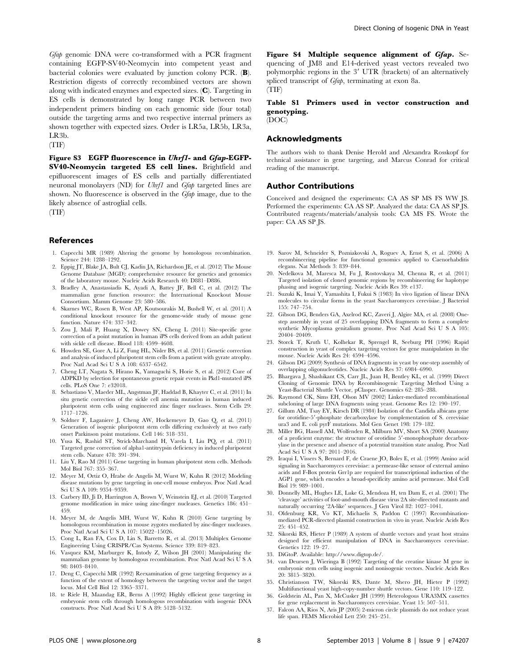Gfap genomic DNA were co-transformed with a PCR fragment containing EGFP-SV40-Neomycin into competent yeast and bacterial colonies were evaluated by junction colony PCR. (B). Restriction digests of correctly recombined vectors are shown along with indicated enzymes and expected sizes. (C). Targeting in ES cells is demonstrated by long range PCR between two independent primers binding on each genomic side (four total) outside the targeting arms and two respective internal primers as shown together with expected sizes. Order is LR5a, LR5b, LR3a, LR3b.

(TIF)

Figure S3 EGFP fluorescence in Uhrf1- and Gfap-EGFP-SV40-Neomycin targeted ES cell lines. Brightfield and epifluorescent images of ES cells and partially differentiated neuronal monolayers (ND) for *Uhrf1* and *Gfap* targeted lines are shown. No fluorescence is observed in the Gfap image, due to the likely absence of astroglial cells.

(TIF)

#### References

- 1. Capecchi MR (1989) Altering the genome by homologous recombination. Science 244: 1288–1292.
- 2. Eppig JT, Blake JA, Bult CJ, Kadin JA, Richardson JE, et al. (2012) The Mouse Genome Database (MGD): comprehensive resource for genetics and genomics of the laboratory mouse. Nucleic Acids Research 40: D881–D886.
- 3. Bradley A, Anastassiadis K, Ayadi A, Battey JF, Bell C, et al. (2012) The mammalian gene function resource: the International Knockout Mouse Consortium. Mamm Genome 23: 580–586.
- 4. Skarnes WC, Rosen B, West AP, Koutsourakis M, Bushell W, et al. (2011) A conditional knockout resource for the genome-wide study of mouse gene function. Nature 474: 337–342.
- 5. Zou J, Mali P, Huang X, Dowey SN, Cheng L (2011) Site-specific gene correction of a point mutation in human iPS cells derived from an adult patient with sickle cell disease. Blood 118: 4599–4608.
- 6. Howden SE, Gore A, Li Z, Fung HL, Nisler BS, et al. (2011) Genetic correction and analysis of induced pluripotent stem cells from a patient with gyrate atrophy. Proc Natl Acad Sci U S A 108: 6537–6542.
- 7. Cheng LT, Nagata S, Hirano K, Yamaguchi S, Horie S, et al. (2012) Cure of ADPKD by selection for spontaneous genetic repair events in Pkd1-mutated iPS cells. PLoS One 7: e32018.
- 8. Sebastiano V, Maeder ML, Angstman JF, Haddad B, Khayter C, et al. (2011) In situ genetic correction of the sickle cell anemia mutation in human induced pluripotent stem cells using engineered zinc finger nucleases. Stem Cells 29: 1717–1726.
- 9. Soldner F, Laganiere J, Cheng AW, Hockemeyer D, Gao Q, et al. (2011) Generation of isogenic pluripotent stem cells differing exclusively at two early onset Parkinson point mutations. Cell 146: 318–331.
- 10. Yusa K, Rashid ST, Strick-Marchand H, Varela I, Liu PQ, et al. (2011) Targeted gene correction of alpha1-antitrypsin deficiency in induced pluripotent stem cells. Nature 478: 391–394.
- 11. Liu Y, Rao M (2011) Gene targeting in human pluripotent stem cells. Methods Mol Biol 767: 355–367.
- 12. Meyer M, Ortiz O, Hrabe de Angelis M, Wurst W, Kuhn R (2012) Modeling disease mutations by gene targeting in one-cell mouse embryos. Proc Natl Acad Sci U S A 109: 9354–9359.
- 13. Carbery ID, Ji D, Harrington A, Brown V, Weinstein EJ, et al. (2010) Targeted genome modification in mice using zinc-finger nucleases. Genetics 186: 451– 459.
- 14. Meyer M, de Angelis MH, Wurst W, Kuhn R (2010) Gene targeting by homologous recombination in mouse zygotes mediated by zinc-finger nucleases. Proc Natl Acad Sci U S A 107: 15022–15026.
- 15. Cong L, Ran FA, Cox D, Lin S, Barretto R, et al. (2013) Multiplex Genome Engineering Using CRISPR/Cas Systems. Science 339: 819–823.
- 16. Vasquez KM, Marburger K, Intody Z, Wilson JH (2001) Manipulating the mammalian genome by homologous recombination. Proc Natl Acad Sci U S A 98: 8403–8410.
- 17. Deng C, Capecchi MR (1992) Reexamination of gene targeting frequency as a function of the extent of homology between the targeting vector and the target locus. Mol Cell Biol 12: 3365–3371.
- 18. te Riele H, Maandag ER, Berns A (1992) Highly efficient gene targeting in embryonic stem cells through homologous recombination with isogenic DNA constructs. Proc Natl Acad Sci U S A 89: 5128–5132.

Figure S4 Multiple sequence alignment of Gfap. Sequencing of JM8 and E14-derived yeast vectors revealed two polymorphic regions in the  $3'$  UTR (brackets) of an alternatively spliced transcript of Gfap, terminating at exon 8a. (TIF)

# Table S1 Primers used in vector construction and genotyping.

(DOC)

# Acknowledgments

The authors wish to thank Denise Herold and Alexandra Rosskopf for technical assistance in gene targeting, and Marcus Conrad for critical reading of the manuscript.

#### Author Contributions

Conceived and designed the experiments: CA AS SP MS FS WW JS. Performed the experiments: CA AS SP. Analyzed the data: CA AS SP JS. Contributed reagents/materials/analysis tools: CA MS FS. Wrote the paper: CA AS SP JS.

- 19. Sarov M, Schneider S, Pozniakovski A, Roguev A, Ernst S, et al. (2006) A recombineering pipeline for functional genomics applied to Caenorhabditis elegans. Nat Methods 3: 839–844.
- 20. Nedelkova M, Maresca M, Fu J, Rostovskaya M, Chenna R, et al. (2011) Targeted isolation of cloned genomic regions by recombineering for haplotype phasing and isogenic targeting. Nucleic Acids Res 39: e137.
- 21. Suzuki K, Imai Y, Yamashita I, Fukui S (1983) In vivo ligation of linear DNA molecules to circular forms in the yeast Saccharomyces cerevisiae. J Bacteriol 155: 747–754.
- 22. Gibson DG, Benders GA, Axelrod KC, Zaveri J, Algire MA, et al. (2008) Onestep assembly in yeast of 25 overlapping DNA fragments to form a complete synthetic Mycoplasma genitalium genome. Proc Natl Acad Sci U S A 105: 20404–20409.
- 23. Storck T, Kruth U, Kolhekar R, Sprengel R, Seeburg PH (1996) Rapid construction in yeast of complex targeting vectors for gene manipulation in the mouse. Nucleic Acids Res 24: 4594–4596.
- 24. Gibson DG (2009) Synthesis of DNA fragments in yeast by one-step assembly of overlapping oligonucleotides. Nucleic Acids Res 37: 6984–6990.
- 25. Bhargava J, Shashikant CS, Carr JL, Juan H, Bentley KL, et al. (1999) Direct Cloning of Genomic DNA by Recombinogenic Targeting Method Using a Yeast-Bacterial Shuttle Vector, pClasper. Genomics 62: 285–288.
- 26. Raymond CK, Sims EH, Olson MV (2002) Linker-mediated recombinational subcloning of large DNA fragments using yeast. Genome Res 12: 190–197.
- 27. Gillum AM, Tsay EY, Kirsch DR (1984) Isolation of the Candida albicans gene for orotidine-5'-phosphate decarboxylase by complementation of S. cerevisiae ura3 and E. coli pyrF mutations. Mol Gen Genet 198: 179–182.
- 28. Miller BG, Hassell AM, Wolfenden R, Milburn MV, Short SA (2000) Anatomy of a proficient enzyme: the structure of orotidine 5'-monophosphate decarboxylase in the presence and absence of a potential transition state analog. Proc Natl Acad Sci U S A 97: 2011–2016.
- 29. Iraqui I, Vissers S, Bernard F, de Craene JO, Boles E, et al. (1999) Amino acid signaling in Saccharomyces cerevisiae: a permease-like sensor of external amino acids and F-Box protein Grr1p are required for transcriptional induction of the AGP1 gene, which encodes a broad-specificity amino acid permease. Mol Cell Biol 19: 989–1001.
- 30. Donnelly ML, Hughes LE, Luke G, Mendoza H, ten Dam E, et al. (2001) The 'cleavage' activities of foot-and-mouth disease virus 2A site-directed mutants and naturally occurring '2A-like' sequences. J Gen Virol 82: 1027–1041.
- 31. Oldenburg KR, Vo KT, Michaelis S, Paddon C (1997) Recombinationmediated PCR-directed plasmid construction in vivo in yeast. Nucleic Acids Res 25: 451–452.
- 32. Sikorski RS, Hieter P (1989) A system of shuttle vectors and yeast host strains designed for efficient manipulation of DNA in Saccharomyces cerevisiae. Genetics 199: 10–27.
- 33. DiGtoP. Available: http://www.digtop.de/.
- 34. van Deursen J, Wieringa B (1992) Targeting of the creatine kinase M gene in embryonic stem cells using isogenic and nonisogenic vectors. Nucleic Acids Res 20: 3815–3820.
- 35. Christianson TW, Sikorski RS, Dante M, Shero JH, Hieter P (1992) Multifunctional yeast high-copy-number shuttle vectors. Gene 110: 119–122.
- 36. Goldstein AL, Pan X, McCusker JH (1999) Heterologous URA3MX cassettes for gene replacement in Saccharomyces cerevisiae. Yeast 15: 507–511.
- 37. Falcon AA, Rios N, Aris JP (2005) 2-micron circle plasmids do not reduce yeast life span. FEMS Microbiol Lett 250: 245–251.